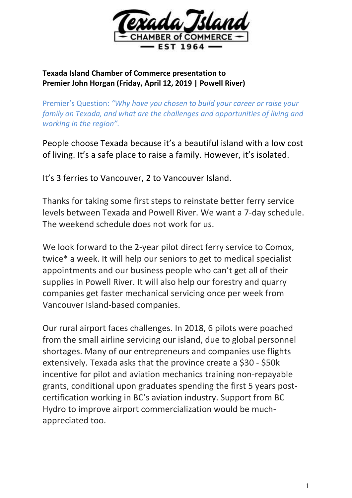

## **Texada Island Chamber of Commerce presentation to Premier John Horgan (Friday, April 12, 2019 | Powell River)**

Premier's Question: *"Why have you chosen to build your career or raise your family on Texada, and what are the challenges and opportunities of living and working in the region".*

People choose Texada because it's a beautiful island with a low cost of living. It's a safe place to raise a family. However, it's isolated.

It's 3 ferries to Vancouver, 2 to Vancouver Island.

Thanks for taking some first steps to reinstate better ferry service levels between Texada and Powell River. We want a 7-day schedule. The weekend schedule does not work for us.

We look forward to the 2-year pilot direct ferry service to Comox, twice\* a week. It will help our seniors to get to medical specialist appointments and our business people who can't get all of their supplies in Powell River. It will also help our forestry and quarry companies get faster mechanical servicing once per week from Vancouver Island-based companies.

Our rural airport faces challenges. In 2018, 6 pilots were poached from the small airline servicing our island, due to global personnel shortages. Many of our entrepreneurs and companies use flights extensively. Texada asks that the province create a \$30 - \$50k incentive for pilot and aviation mechanics training non-repayable grants, conditional upon graduates spending the first 5 years postcertification working in BC's aviation industry. Support from BC Hydro to improve airport commercialization would be muchappreciated too.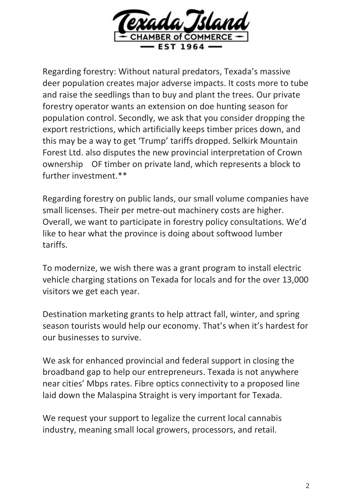

Regarding forestry: Without natural predators, Texada's massive deer population creates major adverse impacts. It costs more to tube and raise the seedlings than to buy and plant the trees. Our private forestry operator wants an extension on doe hunting season for population control. Secondly, we ask that you consider dropping the export restrictions, which artificially keeps timber prices down, and this may be a way to get 'Trump' tariffs dropped. Selkirk Mountain Forest Ltd. also disputes the new provincial interpretation of Crown ownership OF timber on private land, which represents a block to further investment.\*\*

Regarding forestry on public lands, our small volume companies have small licenses. Their per metre-out machinery costs are higher. Overall, we want to participate in forestry policy consultations. We'd like to hear what the province is doing about softwood lumber tariffs.

To modernize, we wish there was a grant program to install electric vehicle charging stations on Texada for locals and for the over 13,000 visitors we get each year.

Destination marketing grants to help attract fall, winter, and spring season tourists would help our economy. That's when it's hardest for our businesses to survive.

We ask for enhanced provincial and federal support in closing the broadband gap to help our entrepreneurs. Texada is not anywhere near cities' Mbps rates. Fibre optics connectivity to a proposed line laid down the Malaspina Straight is very important for Texada.

We request your support to legalize the current local cannabis industry, meaning small local growers, processors, and retail.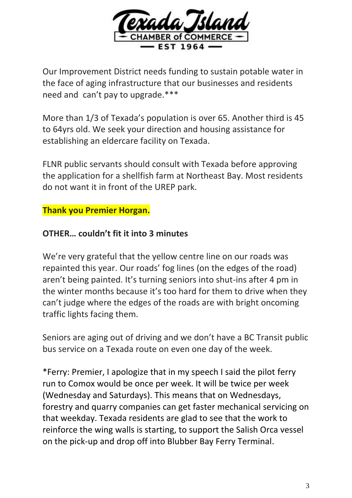

Our Improvement District needs funding to sustain potable water in the face of aging infrastructure that our businesses and residents need and can't pay to upgrade.\*\*\*

More than 1/3 of Texada's population is over 65. Another third is 45 to 64yrs old. We seek your direction and housing assistance for establishing an eldercare facility on Texada.

FLNR public servants should consult with Texada before approving the application for a shellfish farm at Northeast Bay. Most residents do not want it in front of the UREP park.

## **Thank you Premier Horgan.**

## **OTHER… couldn't fit it into 3 minutes**

We're very grateful that the yellow centre line on our roads was repainted this year. Our roads' fog lines (on the edges of the road) aren't being painted. It's turning seniors into shut-ins after 4 pm in the winter months because it's too hard for them to drive when they can't judge where the edges of the roads are with bright oncoming traffic lights facing them.

Seniors are aging out of driving and we don't have a BC Transit public bus service on a Texada route on even one day of the week.

\*Ferry: Premier, I apologize that in my speech I said the pilot ferry run to Comox would be once per week. It will be twice per week (Wednesday and Saturdays). This means that on Wednesdays, forestry and quarry companies can get faster mechanical servicing on that weekday. Texada residents are glad to see that the work to reinforce the wing walls is starting, to support the Salish Orca vessel on the pick-up and drop off into Blubber Bay Ferry Terminal.